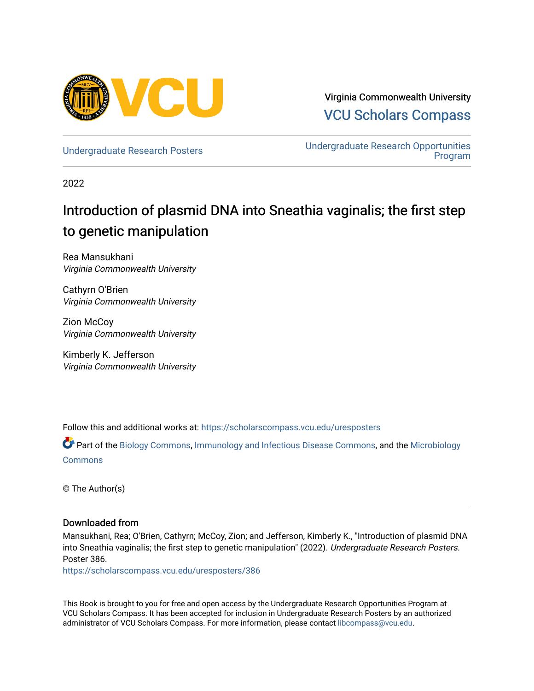

Virginia Commonwealth University [VCU Scholars Compass](https://scholarscompass.vcu.edu/) 

[Undergraduate Research Posters](https://scholarscompass.vcu.edu/uresposters) [Undergraduate Research Opportunities](https://scholarscompass.vcu.edu/urop)  [Program](https://scholarscompass.vcu.edu/urop) 

2022

# Introduction of plasmid DNA into Sneathia vaginalis; the first step to genetic manipulation

Rea Mansukhani Virginia Commonwealth University

Cathyrn O'Brien Virginia Commonwealth University

Zion McCoy Virginia Commonwealth University

Kimberly K. Jefferson Virginia Commonwealth University

Follow this and additional works at: [https://scholarscompass.vcu.edu/uresposters](https://scholarscompass.vcu.edu/uresposters?utm_source=scholarscompass.vcu.edu%2Furesposters%2F386&utm_medium=PDF&utm_campaign=PDFCoverPages) 

Part of the [Biology Commons,](http://network.bepress.com/hgg/discipline/41?utm_source=scholarscompass.vcu.edu%2Furesposters%2F386&utm_medium=PDF&utm_campaign=PDFCoverPages) [Immunology and Infectious Disease Commons,](http://network.bepress.com/hgg/discipline/33?utm_source=scholarscompass.vcu.edu%2Furesposters%2F386&utm_medium=PDF&utm_campaign=PDFCoverPages) and the [Microbiology](http://network.bepress.com/hgg/discipline/48?utm_source=scholarscompass.vcu.edu%2Furesposters%2F386&utm_medium=PDF&utm_campaign=PDFCoverPages) [Commons](http://network.bepress.com/hgg/discipline/48?utm_source=scholarscompass.vcu.edu%2Furesposters%2F386&utm_medium=PDF&utm_campaign=PDFCoverPages)

© The Author(s)

### Downloaded from

Mansukhani, Rea; O'Brien, Cathyrn; McCoy, Zion; and Jefferson, Kimberly K., "Introduction of plasmid DNA into Sneathia vaginalis; the first step to genetic manipulation" (2022). Undergraduate Research Posters. Poster 386.

[https://scholarscompass.vcu.edu/uresposters/386](https://scholarscompass.vcu.edu/uresposters/386?utm_source=scholarscompass.vcu.edu%2Furesposters%2F386&utm_medium=PDF&utm_campaign=PDFCoverPages) 

This Book is brought to you for free and open access by the Undergraduate Research Opportunities Program at VCU Scholars Compass. It has been accepted for inclusion in Undergraduate Research Posters by an authorized administrator of VCU Scholars Compass. For more information, please contact [libcompass@vcu.edu](mailto:libcompass@vcu.edu).